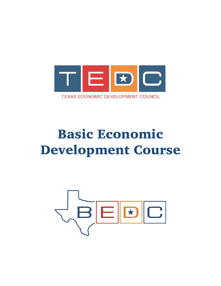

# Basic Economic Development Course

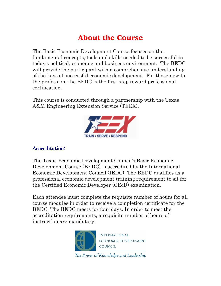# About the Course

The Basic Economic Development Course focuses on the fundamental concepts, tools and skills needed to be successful in today's political, economic and business environment. The BEDC will provide the participant with a comprehensive understanding of the keys of successful economic development. For those new to the profession, the BEDC is the first step toward professional certification.

This course is conducted through a partnership with the Texas A&M Engineering Extension Service (TEEX).



### Accreditation:

The Texas Economic Development Council's Basic Economic Development Course (BEDC) is accredited by the International Economic Development Council (IEDC). The BEDC qualifies as a professional economic development training requirement to sit for the Certified Economic Developer (CEcD) examination.

Each attendee must complete the requisite number of hours for all course modules in order to receive a completion certificate for the BEDC. The BEDC meets for four days. In order to meet the accreditation requirements, a requisite number of hours of instruction are mandatory.



The Power of Knowledge and Leadership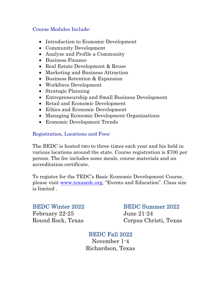### Course Modules Include:

- Introduction to Economic Development
- Community Development
- Analyze and Profile a Community
- Business Finance
- Real Estate Development & Reuse
- Marketing and Business Attraction
- Business Retention & Expansion
- Workforce Development
- Strategic Planning
- Entrepreneurship and Small Business Development
- Retail and Economic Development
- Ethics and Economic Development
- Managing Economic Development Organizations
- Economic Development Trends

## Registration, Locations and Fees:

The BEDC is hosted two to three times each year and his held in various locations around the state. Course registration is \$700 per person. The fee includes some meals, course materials and an accreditation certificate.

To register for the TEDC's Basic Economic Development Course, please visit www.texasedc.org, "Events and Education". Class size is limited .

February 22-25 June 21-24

# BEDC Winter 2022 BEDC Summer 2022

Round Rock, Texas Corpus Christi, Texas

# BEDC Fall 2022

November 1-4 Richardson, Texas